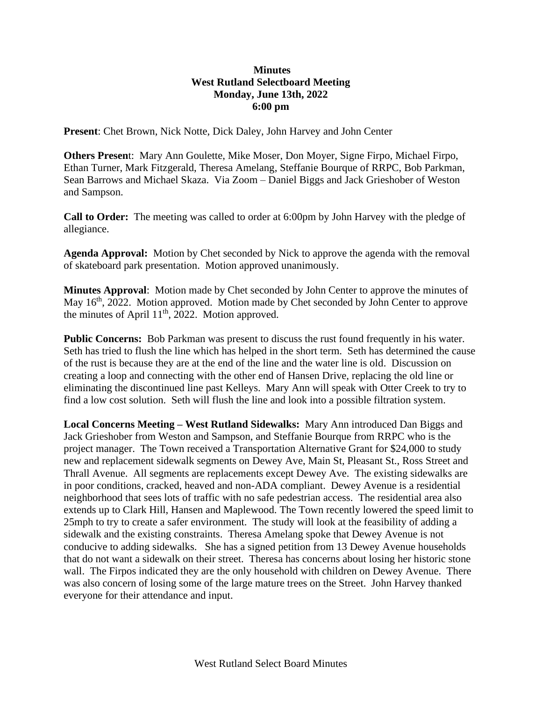# **Minutes West Rutland Selectboard Meeting Monday, June 13th, 2022 6:00 pm**

**Present**: Chet Brown, Nick Notte, Dick Daley, John Harvey and John Center

**Others Presen**t: Mary Ann Goulette, Mike Moser, Don Moyer, Signe Firpo, Michael Firpo, Ethan Turner, Mark Fitzgerald, Theresa Amelang, Steffanie Bourque of RRPC, Bob Parkman, Sean Barrows and Michael Skaza. Via Zoom – Daniel Biggs and Jack Grieshober of Weston and Sampson.

**Call to Order:** The meeting was called to order at 6:00pm by John Harvey with the pledge of allegiance.

**Agenda Approval:** Motion by Chet seconded by Nick to approve the agenda with the removal of skateboard park presentation. Motion approved unanimously.

**Minutes Approval**: Motion made by Chet seconded by John Center to approve the minutes of May 16<sup>th</sup>, 2022. Motion approved. Motion made by Chet seconded by John Center to approve the minutes of April 11<sup>th</sup>, 2022. Motion approved.

**Public Concerns:** Bob Parkman was present to discuss the rust found frequently in his water. Seth has tried to flush the line which has helped in the short term. Seth has determined the cause of the rust is because they are at the end of the line and the water line is old. Discussion on creating a loop and connecting with the other end of Hansen Drive, replacing the old line or eliminating the discontinued line past Kelleys. Mary Ann will speak with Otter Creek to try to find a low cost solution. Seth will flush the line and look into a possible filtration system.

**Local Concerns Meeting – West Rutland Sidewalks:** Mary Ann introduced Dan Biggs and Jack Grieshober from Weston and Sampson, and Steffanie Bourque from RRPC who is the project manager. The Town received a Transportation Alternative Grant for \$24,000 to study new and replacement sidewalk segments on Dewey Ave, Main St, Pleasant St., Ross Street and Thrall Avenue. All segments are replacements except Dewey Ave. The existing sidewalks are in poor conditions, cracked, heaved and non-ADA compliant. Dewey Avenue is a residential neighborhood that sees lots of traffic with no safe pedestrian access. The residential area also extends up to Clark Hill, Hansen and Maplewood. The Town recently lowered the speed limit to 25mph to try to create a safer environment. The study will look at the feasibility of adding a sidewalk and the existing constraints. Theresa Amelang spoke that Dewey Avenue is not conducive to adding sidewalks. She has a signed petition from 13 Dewey Avenue households that do not want a sidewalk on their street. Theresa has concerns about losing her historic stone wall. The Firpos indicated they are the only household with children on Dewey Avenue. There was also concern of losing some of the large mature trees on the Street. John Harvey thanked everyone for their attendance and input.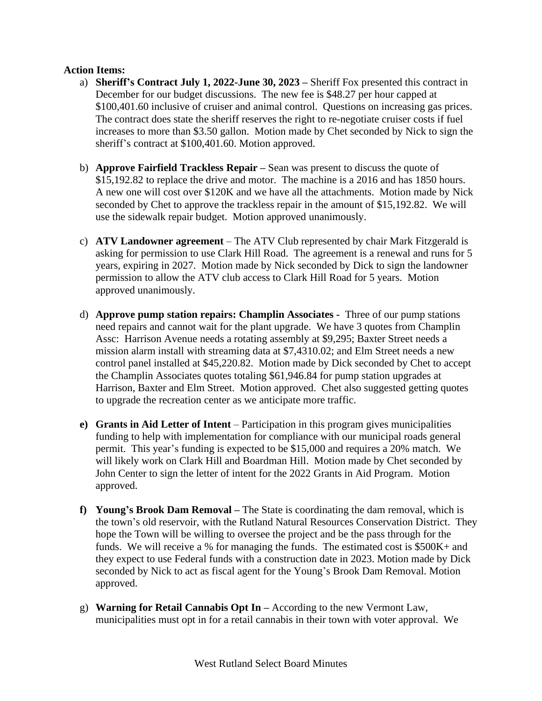## **Action Items:**

- a) **Sheriff's Contract July 1, 2022-June 30, 2023 –** Sheriff Fox presented this contract in December for our budget discussions. The new fee is \$48.27 per hour capped at \$100,401.60 inclusive of cruiser and animal control. Questions on increasing gas prices. The contract does state the sheriff reserves the right to re-negotiate cruiser costs if fuel increases to more than \$3.50 gallon. Motion made by Chet seconded by Nick to sign the sheriff's contract at \$100,401.60. Motion approved.
- b) **Approve Fairfield Trackless Repair –** Sean was present to discuss the quote of \$15,192.82 to replace the drive and motor. The machine is a 2016 and has 1850 hours. A new one will cost over \$120K and we have all the attachments. Motion made by Nick seconded by Chet to approve the trackless repair in the amount of \$15,192.82. We will use the sidewalk repair budget. Motion approved unanimously.
- c) **ATV Landowner agreement** The ATV Club represented by chair Mark Fitzgerald is asking for permission to use Clark Hill Road. The agreement is a renewal and runs for 5 years, expiring in 2027. Motion made by Nick seconded by Dick to sign the landowner permission to allow the ATV club access to Clark Hill Road for 5 years. Motion approved unanimously.
- d) **Approve pump station repairs: Champlin Associates -** Three of our pump stations need repairs and cannot wait for the plant upgrade. We have 3 quotes from Champlin Assc: Harrison Avenue needs a rotating assembly at \$9,295; Baxter Street needs a mission alarm install with streaming data at \$7,4310.02; and Elm Street needs a new control panel installed at \$45,220.82. Motion made by Dick seconded by Chet to accept the Champlin Associates quotes totaling \$61,946.84 for pump station upgrades at Harrison, Baxter and Elm Street. Motion approved. Chet also suggested getting quotes to upgrade the recreation center as we anticipate more traffic.
- **e) Grants in Aid Letter of Intent** Participation in this program gives municipalities funding to help with implementation for compliance with our municipal roads general permit. This year's funding is expected to be \$15,000 and requires a 20% match. We will likely work on Clark Hill and Boardman Hill. Motion made by Chet seconded by John Center to sign the letter of intent for the 2022 Grants in Aid Program. Motion approved.
- **f) Young's Brook Dam Removal –** The State is coordinating the dam removal, which is the town's old reservoir, with the Rutland Natural Resources Conservation District. They hope the Town will be willing to oversee the project and be the pass through for the funds. We will receive a % for managing the funds. The estimated cost is \$500K+ and they expect to use Federal funds with a construction date in 2023. Motion made by Dick seconded by Nick to act as fiscal agent for the Young's Brook Dam Removal. Motion approved.
- g) **Warning for Retail Cannabis Opt In –** According to the new Vermont Law, municipalities must opt in for a retail cannabis in their town with voter approval. We